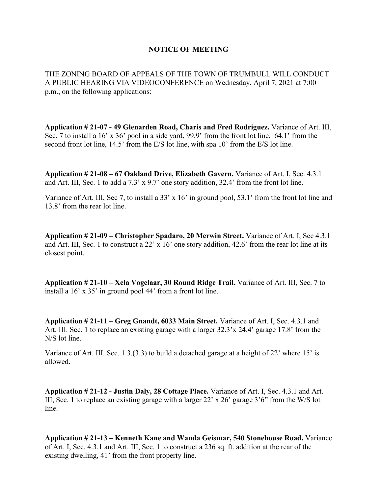## **NOTICE OF MEETING**

THE ZONING BOARD OF APPEALS OF THE TOWN OF TRUMBULL WILL CONDUCT A PUBLIC HEARING VIA VIDEOCONFERENCE on Wednesday, April 7, 2021 at 7:00 p.m., on the following applications:

**Application # 21-07 - 49 Glenarden Road, Charis and Fred Rodriguez.** Variance of Art. III, Sec. 7 to install a 16' x 36' pool in a side yard, 99.9' from the front lot line, 64.1' from the second front lot line, 14.5' from the E/S lot line, with spa 10' from the E/S lot line.

**Application # 21-08 – 67 Oakland Drive, Elizabeth Gavern.** Variance of Art. I, Sec. 4.3.1 and Art. III, Sec. 1 to add a 7.3' x 9.7' one story addition, 32.4' from the front lot line.

Variance of Art. III, Sec 7, to install a 33' x 16' in ground pool, 53.1' from the front lot line and 13.8' from the rear lot line.

**Application # 21-09 – Christopher Spadaro, 20 Merwin Street.** Variance of Art. I, Sec 4.3.1 and Art. III, Sec. 1 to construct a 22' x 16' one story addition, 42.6' from the rear lot line at its closest point.

**Application # 21-10 – Xela Vogelaar, 30 Round Ridge Trail.** Variance of Art. III, Sec. 7 to install a 16' x 35' in ground pool 44' from a front lot line.

**Application # 21-11 – Greg Gnandt, 6033 Main Street.** Variance of Art. I, Sec. 4.3.1 and Art. III. Sec. 1 to replace an existing garage with a larger 32.3'x 24.4' garage 17.8' from the N/S lot line.

Variance of Art. III. Sec. 1.3.(3.3) to build a detached garage at a height of 22' where 15' is allowed.

**Application # 21-12 - Justin Daly, 28 Cottage Place.** Variance of Art. I, Sec. 4.3.1 and Art. III, Sec. 1 to replace an existing garage with a larger 22' x 26' garage 3'6" from the W/S lot line.

**Application # 21-13 – Kenneth Kane and Wanda Geismar, 540 Stonehouse Road.** Variance of Art. I, Sec. 4.3.1 and Art. III, Sec. 1 to construct a 236 sq. ft. addition at the rear of the existing dwelling, 41' from the front property line.